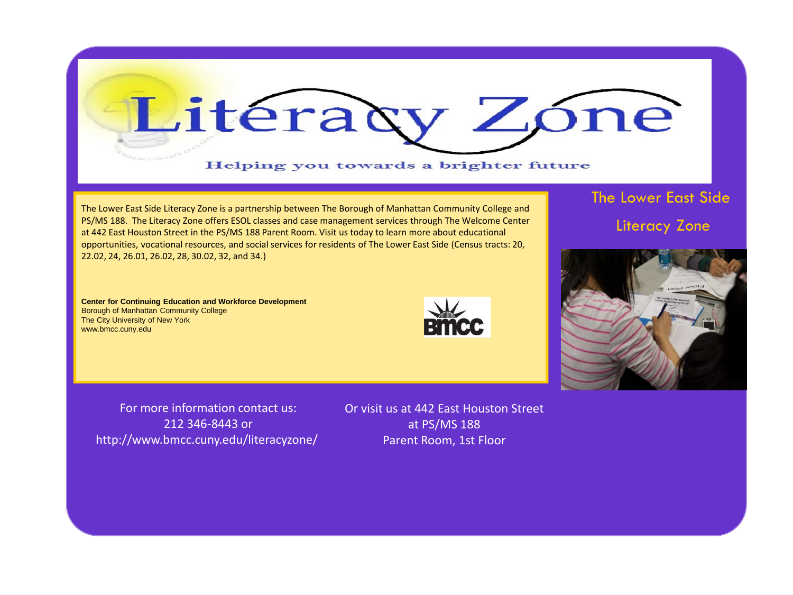

The Lower East Side Literacy Zone is a partnership between The Borough of Manhattan Community College and PS/MS 188. The Literacy Zone offers ESOL classes and case management services through The Welcome Center at 442 East Houston Street in the PS/MS 188 Parent Room. Visit us today to learn more about educational opportunities, vocational resources, and social services for residents of The Lower East Side (Census tracts: 20, 22.02, 24, 26.01, 26.02, 28, 30.02, 32, and 34.)

The Lower East Side Literacy Zone

**Center for Continuing Education and Workforce Development**  Borough of Manhattan Community College The City University of New York www.bmcc.cuny.edu





For more information contact us: http://www.bmcc.cuny.edu/literacyzone/ For more information contact us: 212 346-8443 or

or visit us at 179 Henry Street Books and the US of the US of the US of the US of the US of the US of the US o  $\frac{1}{\sqrt{2}}$  and  $\frac{1}{\sqrt{2}}$  and  $\frac{1}{\sqrt{2}}$  and  $\frac{1}{\sqrt{2}}$  and  $\frac{1}{\sqrt{2}}$  and  $\frac{1}{\sqrt{2}}$  and  $\frac{1}{\sqrt{2}}$  and  $\frac{1}{\sqrt{2}}$  and  $\frac{1}{\sqrt{2}}$  and  $\frac{1}{\sqrt{2}}$  and  $\frac{1}{\sqrt{2}}$  and  $\frac{1}{\sqrt{2}}$  and  $\frac{1}{\sqrt{2}}$  and Or visit us at 442 East Houston Street at PS/MS 188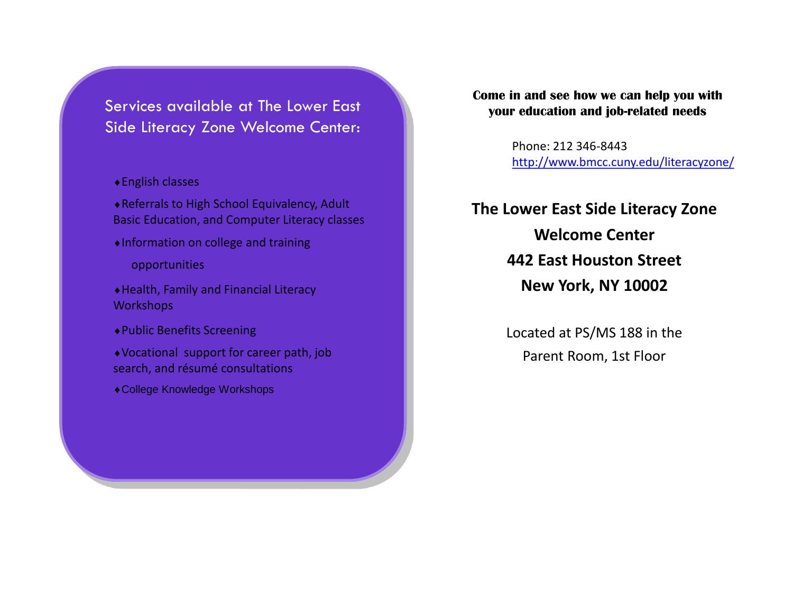Services available at The Lower East Side Literacy Zone Welcome Center:

- English classes
- Referrals to High School Equivalency, Adult Basic Education, and Computer Literacy classes
- Information on college and training
	- opportunities
- Health, Family and Financial Literacy **Workshops**
- Public Benefits Screening
- Vocational support for career path, job search, and résumé consultations
- College Knowledge Workshops

## **Come in and see how we can help you with your education and job-related needs**

Phone: 212 346-8443 <http://www.bmcc.cuny.edu/literacyzone/>

## **The Lower East Side Literacy Zone Welcome Center 442 East Houston Street New York, NY 10002**

Located at PS/MS 188 in the Parent Room, 1st Floor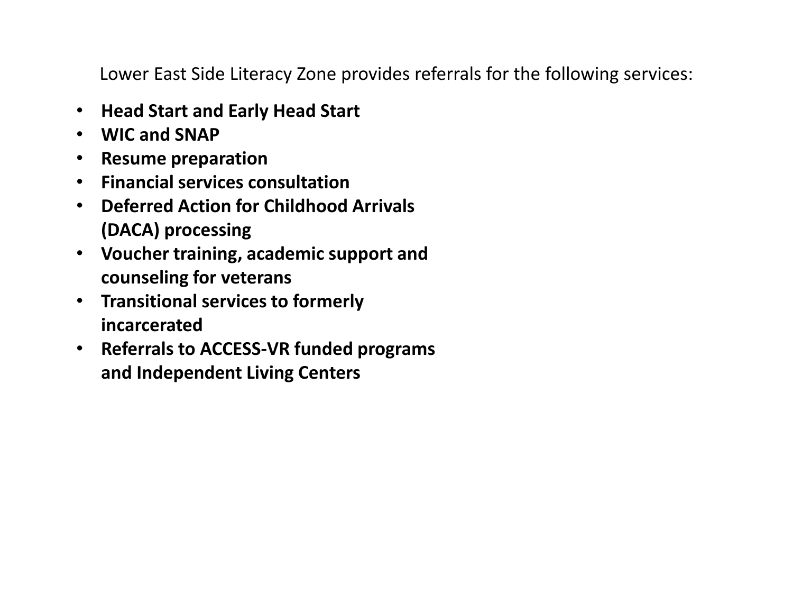Lower East Side Literacy Zone provides referrals for the following services:

- **Head Start and Early Head Start**
- **WIC and SNAP**
- **Resume preparation**
- **Financial services consultation**
- **Deferred Action for Childhood Arrivals (DACA) processing**
- **Voucher training, academic support and counseling for veterans**
- **Transitional services to formerly incarcerated**
- **Referrals to ACCESS-VR funded programs and Independent Living Centers**